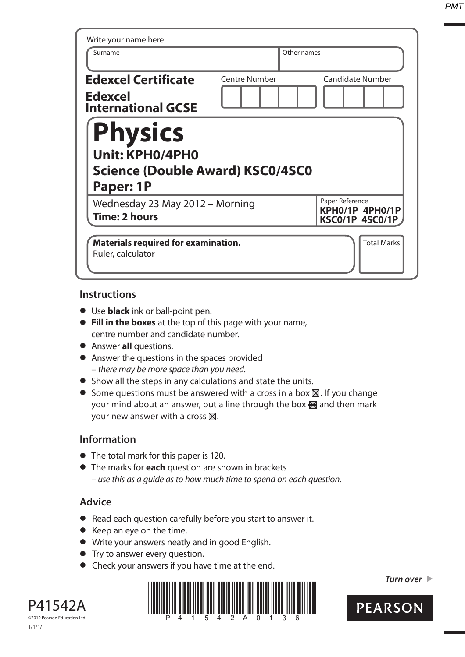*PMT*

| Write your name here                                                                             |                      |                                                       |
|--------------------------------------------------------------------------------------------------|----------------------|-------------------------------------------------------|
| Surname                                                                                          |                      | Other names                                           |
| <b>Edexcel Certificate</b><br><b>Edexcel</b><br><b>International GCSE</b>                        | <b>Centre Number</b> | <b>Candidate Number</b>                               |
| <b>Physics</b><br><b>Unit: KPH0/4PH0</b><br>Science (Double Award) KSC0/4SC0<br><b>Paper: 1P</b> |                      |                                                       |
| Wednesday 23 May 2012 - Morning<br><b>Time: 2 hours</b>                                          |                      | Paper Reference<br>KPH0/1P 4PH0/1P<br>KSC0/1P 4SC0/1P |
| <b>Materials required for examination.</b><br>Ruler, calculator                                  |                      | <b>Total Marks</b>                                    |

## **Instructions**

- **t** Use **black** ink or ball-point pen.
- **Fill in the boxes** at the top of this page with your name, centre number and candidate number.
- **•** Answer **all** questions.
- **•** Answer the questions in the spaces provided – there may be more space than you need.
- **•** Show all the steps in any calculations and state the units.
- $\bullet$  Some questions must be answered with a cross in a box  $\boxtimes$ . If you change your mind about an answer, put a line through the box  $\mathbb{R}$  and then mark your new answer with a cross  $\boxtimes$ .

## **Information**

- **•** The total mark for this paper is 120.
- **t** The marks for **each** question are shown in brackets – use this as a guide as to how much time to spend on each question.

# **Advice**

- **t** Read each question carefully before you start to answer it.
- **t** Keep an eye on the time.
- **t** Write your answers neatly and in good English.
- **•** Try to answer every question.
- **•** Check your answers if you have time at the end.







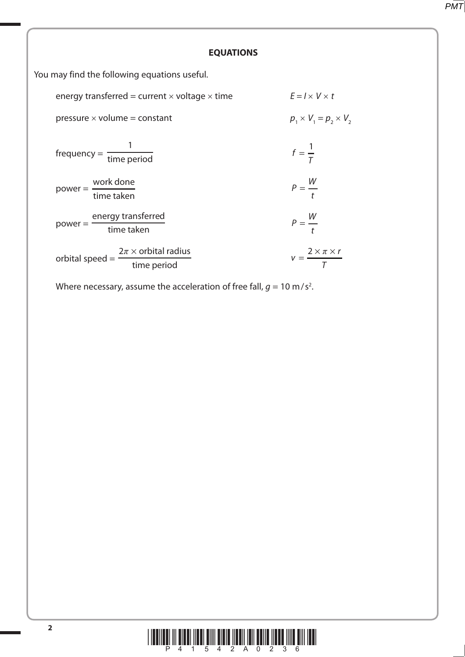#### **EQUATIONS** You may find the following equations useful. energy transferred = current  $\times$  voltage  $\times$ time  $E = I \times V \times t$ pressure  $\times$  volume = constant p<sub>1</sub>  $\times$  $V_1 = p_2 \times V_2$ frequency = 1 time period f  $f = \frac{1}{T}$ power = work done time taken  $P = \frac{W}{A}$  $=\frac{1}{t}$ power = energy transferred time taken  $P = \frac{W}{A}$  $=\frac{1}{t}$ orbital speed =  $2\pi \times$  orbital radius time period  $\pi \times$  orbital radius 2  $\times \pi \times r$ v T  $=\frac{2 \times \pi \times}{\pi}$

Where necessary, assume the acceleration of free fall,  $g = 10 \text{ m/s}^2$ .

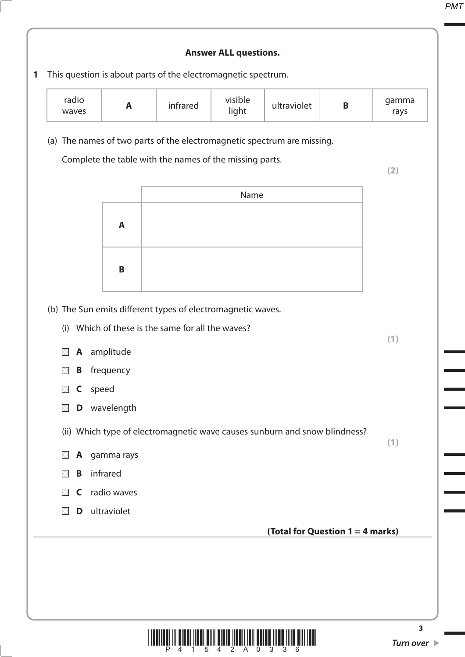|             | radio<br>waves | A                                                                          | infrared | visible<br>light | ultraviolet                      | B | gamma<br>rays |
|-------------|----------------|----------------------------------------------------------------------------|----------|------------------|----------------------------------|---|---------------|
|             |                | (a) The names of two parts of the electromagnetic spectrum are missing.    |          |                  |                                  |   |               |
|             |                | Complete the table with the names of the missing parts.                    |          |                  |                                  |   |               |
|             |                |                                                                            |          |                  |                                  |   | (2)           |
|             |                |                                                                            |          | Name             |                                  |   |               |
|             |                | A                                                                          |          |                  |                                  |   |               |
|             |                |                                                                            |          |                  |                                  |   |               |
|             |                | B                                                                          |          |                  |                                  |   |               |
|             |                |                                                                            |          |                  |                                  |   |               |
|             |                | (b) The Sun emits different types of electromagnetic waves.                |          |                  |                                  |   |               |
|             | (i)            | Which of these is the same for all the waves?                              |          |                  |                                  |   |               |
| $\boxtimes$ | A              | amplitude                                                                  |          |                  |                                  |   | (1)           |
| $\times$    | B              | frequency                                                                  |          |                  |                                  |   |               |
| $\times$    |                | C speed                                                                    |          |                  |                                  |   |               |
| $\times$    |                | <b>D</b> wavelength                                                        |          |                  |                                  |   |               |
|             |                | (ii) Which type of electromagnetic wave causes sunburn and snow blindness? |          |                  |                                  |   |               |
| $\times$    |                | A gamma rays                                                               |          |                  |                                  |   | (1)           |
| ×           | B              | infrared                                                                   |          |                  |                                  |   |               |
| X           | C              | radio waves                                                                |          |                  |                                  |   |               |
| X           | D              | ultraviolet                                                                |          |                  |                                  |   |               |
|             |                |                                                                            |          |                  | (Total for Question 1 = 4 marks) |   |               |



**3**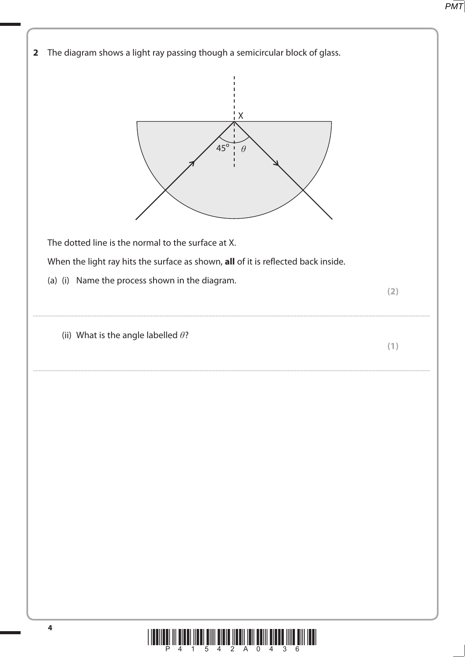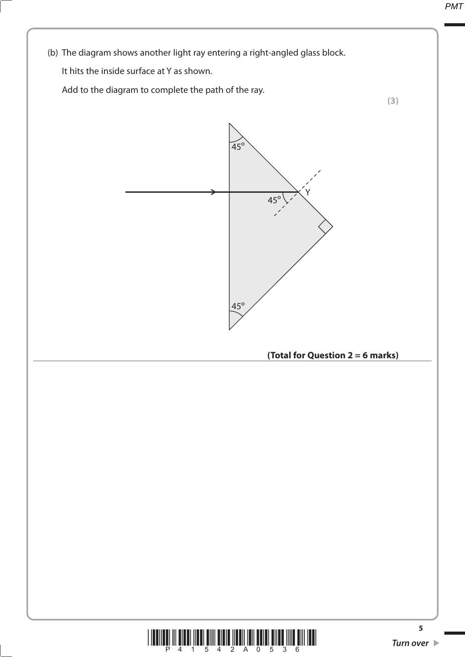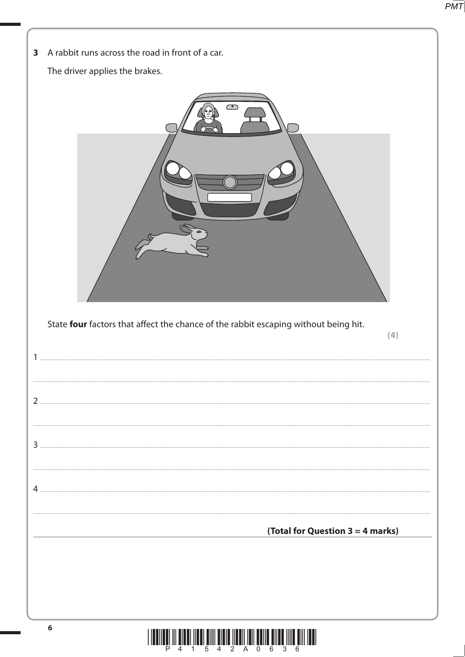| 3              | A rabbit runs across the road in front of a car.                                         |
|----------------|------------------------------------------------------------------------------------------|
|                | The driver applies the brakes.                                                           |
|                | $\bigcirc$                                                                               |
|                | State four factors that affect the chance of the rabbit escaping without being hit.      |
|                | (4)                                                                                      |
|                |                                                                                          |
|                |                                                                                          |
| 2 <sup>1</sup> |                                                                                          |
|                |                                                                                          |
|                | 3                                                                                        |
|                |                                                                                          |
|                |                                                                                          |
|                |                                                                                          |
|                | (Total for Question 3 = 4 marks)                                                         |
|                |                                                                                          |
|                |                                                                                          |
|                |                                                                                          |
|                |                                                                                          |
|                | 6<br><u> I ISOIIEN III DINNI IISOI DIIII DININ IISOI ISII DOIID DIIN OIII DIII IND I</u> |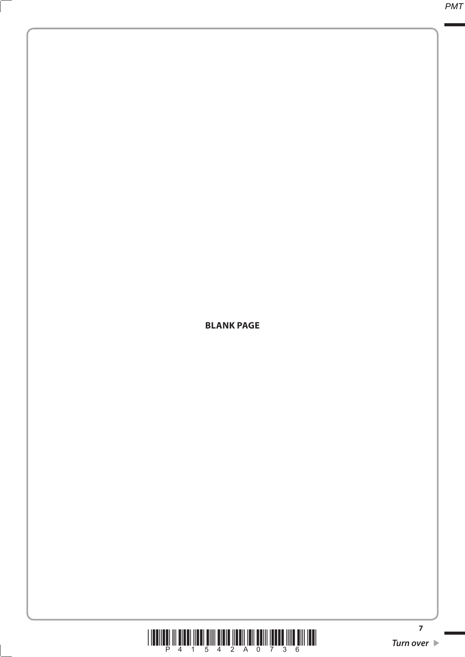## **BLANK PAGE**

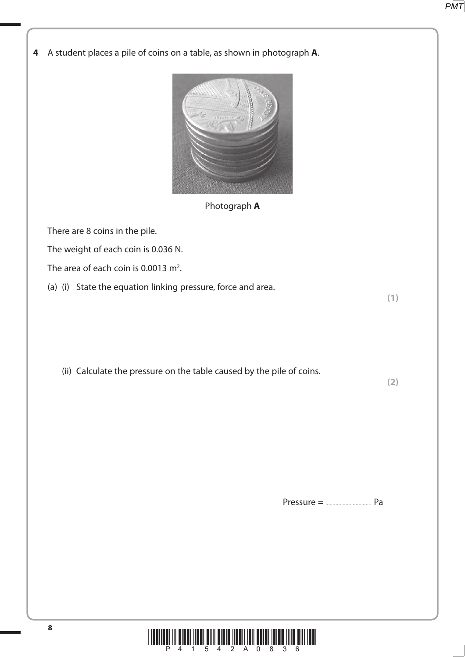**4** A student places a pile of coins on a table, as shown in photograph **A**. Photograph **A** There are 8 coins in the pile. The weight of each coin is 0.036 N. The area of each coin is 0.0013  $m^2$ . (a) (i) State the equation linking pressure, force and area. **(1)** (ii) Calculate the pressure on the table caused by the pile of coins. **(2)** Pressure = ................................ Pa

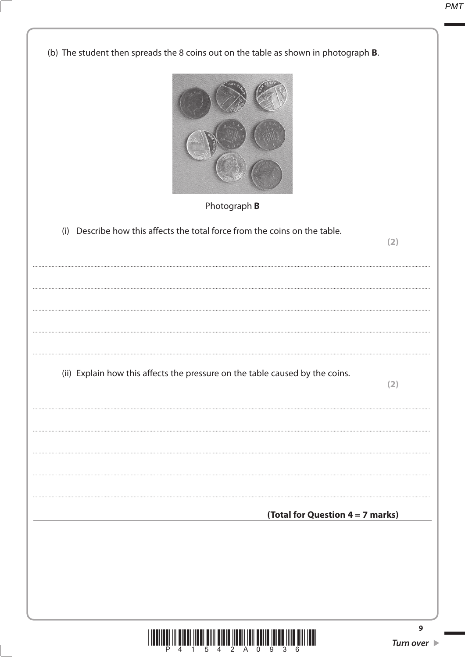

 $1\,$   $5\,$   $4\,$   $2\,$   $8\,$   $0\,$   $9\,$   $3\,$   $6\,$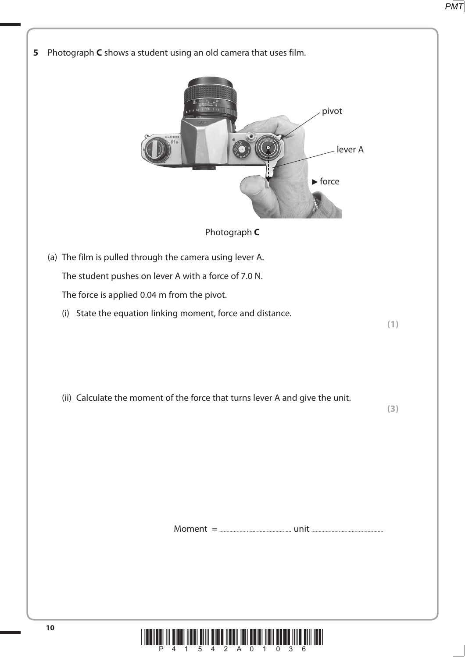![](_page_9_Picture_1.jpeg)

![](_page_9_Picture_3.jpeg)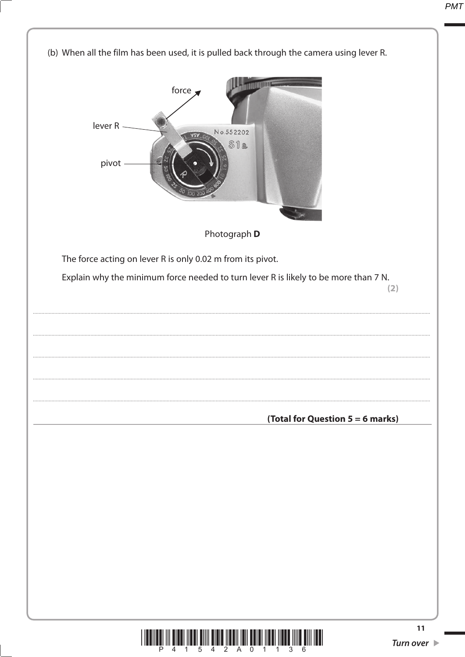![](_page_10_Picture_1.jpeg)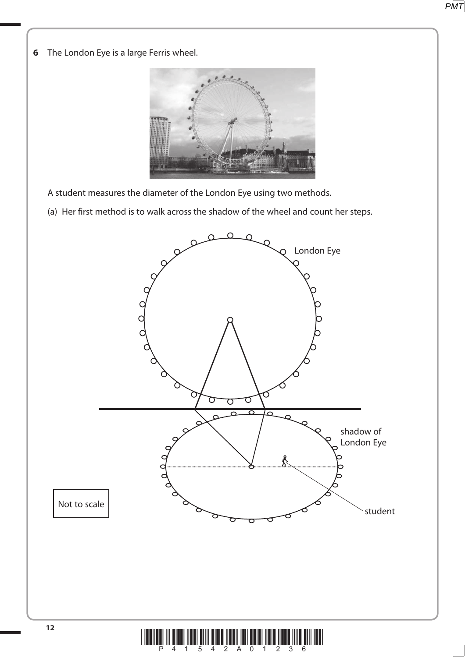**6** The London Eye is a large Ferris wheel. A student measures the diameter of the London Eye using two methods. (a) Her first method is to walk across the shadow of the wheel and count her steps. London Eye ∩ ┌  $\overline{\phantom{0}}$ shadow of London Eye  $\overline{\mathsf{C}}$ Not to scale student 12  $\left|\frac{1}{2}\right|\left|\frac{1}{4}\right|\left|\frac{1}{4}\right|\left|\frac{1}{5}\right|\left|\frac{1}{4}\right|\left|\frac{1}{5}\right|\left|\frac{1}{4}\right|\left|\frac{1}{2}\right|\left|\frac{1}{4}\right|\left|\frac{1}{2}\right|\left|\frac{1}{4}\right|\left|\frac{1}{2}\right|\left|\frac{1}{4}\right|\left|\frac{1}{2}\right|\left|\frac{1}{4}\right|\left|\frac{1}{2}\right|\left|\frac{1}{4}\right|\left|\frac{1}{4}\right|\left|\frac{1}{4}\right|\left|\frac{1}{4}\right|\left|\frac{1}{4}\right|\left|\frac{1}{$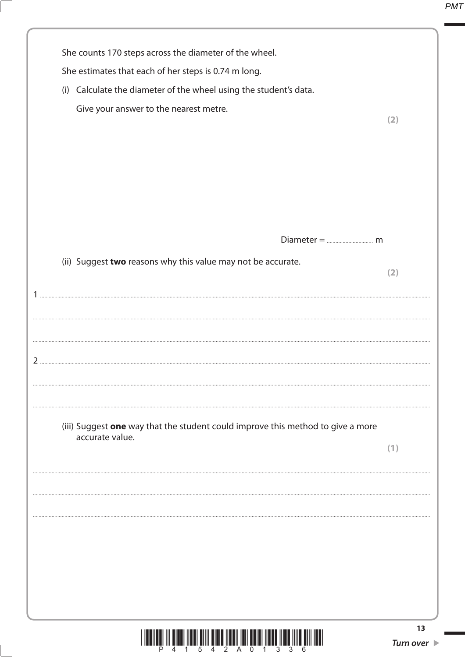|                                                                                                             | 13<br>Turn over $\blacktriangleright$ |
|-------------------------------------------------------------------------------------------------------------|---------------------------------------|
|                                                                                                             |                                       |
|                                                                                                             |                                       |
| (iii) Suggest one way that the student could improve this method to give a more<br>accurate value.          | (1)                                   |
|                                                                                                             |                                       |
|                                                                                                             |                                       |
| 1                                                                                                           | (2)                                   |
| Diameter = $\frac{1}{2}$ m<br>(ii) Suggest two reasons why this value may not be accurate.                  |                                       |
|                                                                                                             |                                       |
|                                                                                                             |                                       |
| (i) Calculate the diameter of the wheel using the student's data.<br>Give your answer to the nearest metre. | (2)                                   |
| She estimates that each of her steps is 0.74 m long.                                                        |                                       |
| She counts 170 steps across the diameter of the wheel.                                                      |                                       |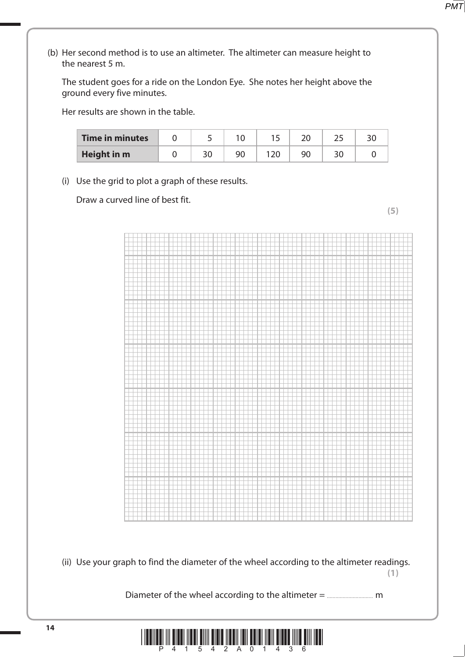(b) Her second method is to use an altimeter. The altimeter can measure height to the nearest 5 m.

 The student goes for a ride on the London Eye. She notes her height above the ground every five minutes.

Her results are shown in the table.

| <b>Time in minutes</b> |  |    |  |  |
|------------------------|--|----|--|--|
| Height in m            |  | Q( |  |  |

(i) Use the grid to plot a graph of these results.

Draw a curved line of best fit.

**(5)**

*PMT*

![](_page_13_Picture_7.jpeg)

(ii) Use your graph to find the diameter of the wheel according to the altimeter readings.

**(1)**

Diameter of the wheel according to the altimeter = ................................ m

![](_page_13_Picture_11.jpeg)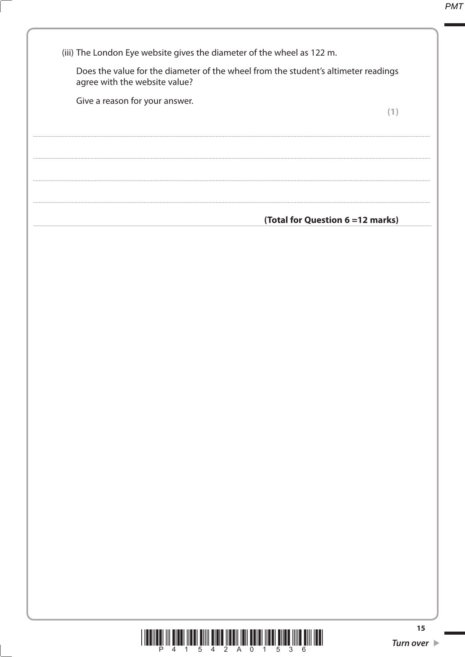| Does the value for the diameter of the wheel from the student's altimeter readings<br>agree with the website value? |                                   |
|---------------------------------------------------------------------------------------------------------------------|-----------------------------------|
| Give a reason for your answer.                                                                                      |                                   |
|                                                                                                                     | (1)                               |
|                                                                                                                     |                                   |
|                                                                                                                     |                                   |
|                                                                                                                     |                                   |
|                                                                                                                     |                                   |
|                                                                                                                     | (Total for Question 6 = 12 marks) |
|                                                                                                                     |                                   |
|                                                                                                                     |                                   |
|                                                                                                                     |                                   |
|                                                                                                                     |                                   |
|                                                                                                                     |                                   |
|                                                                                                                     |                                   |
|                                                                                                                     |                                   |
|                                                                                                                     |                                   |
|                                                                                                                     |                                   |
|                                                                                                                     |                                   |
|                                                                                                                     |                                   |
|                                                                                                                     |                                   |
|                                                                                                                     |                                   |
|                                                                                                                     |                                   |
|                                                                                                                     |                                   |
|                                                                                                                     |                                   |
|                                                                                                                     |                                   |
|                                                                                                                     |                                   |
|                                                                                                                     |                                   |
|                                                                                                                     |                                   |
|                                                                                                                     |                                   |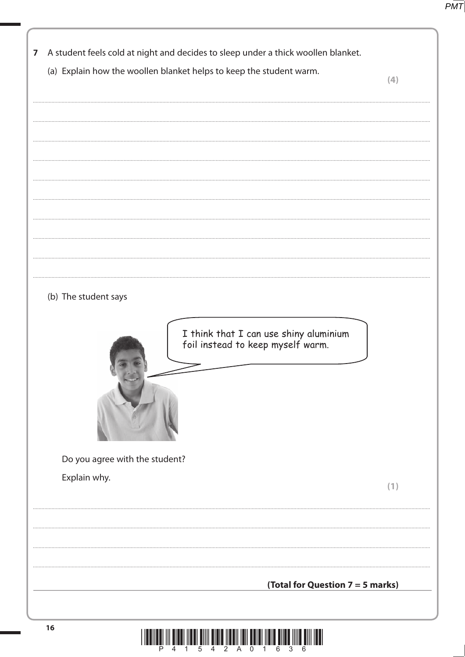|                                | (a) Explain how the woollen blanket helps to keep the student warm.         | (4) |
|--------------------------------|-----------------------------------------------------------------------------|-----|
|                                |                                                                             |     |
|                                |                                                                             |     |
|                                |                                                                             |     |
|                                |                                                                             |     |
|                                |                                                                             |     |
|                                |                                                                             |     |
|                                |                                                                             |     |
|                                |                                                                             |     |
|                                |                                                                             |     |
|                                |                                                                             |     |
| (b) The student says           |                                                                             |     |
|                                |                                                                             |     |
|                                | I think that I can use shiny aluminium<br>foil instead to keep myself warm. |     |
|                                |                                                                             |     |
|                                |                                                                             |     |
|                                |                                                                             |     |
|                                |                                                                             |     |
|                                |                                                                             |     |
| Do you agree with the student? |                                                                             |     |
| Explain why.                   |                                                                             | (1) |
|                                |                                                                             |     |
|                                |                                                                             |     |
|                                |                                                                             |     |
|                                |                                                                             |     |
|                                | (Total for Question 7 = 5 marks)                                            |     |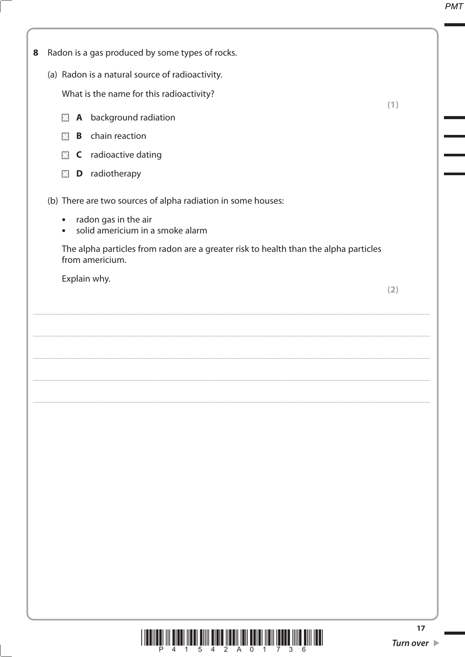| 8 |                        |   | Radon is a gas produced by some types of rocks.                                                         |     |  |
|---|------------------------|---|---------------------------------------------------------------------------------------------------------|-----|--|
|   |                        |   | (a) Radon is a natural source of radioactivity.                                                         |     |  |
|   |                        |   | What is the name for this radioactivity?                                                                | (1) |  |
|   | $\times$               |   | A background radiation                                                                                  |     |  |
|   | $\mathbb{R}$           | B | chain reaction                                                                                          |     |  |
|   | $\times$               |   | <b>C</b> radioactive dating                                                                             |     |  |
|   | $\times$               | D | radiotherapy                                                                                            |     |  |
|   |                        |   | (b) There are two sources of alpha radiation in some houses:                                            |     |  |
|   | $\bullet$<br>$\bullet$ |   | radon gas in the air<br>solid americium in a smoke alarm                                                |     |  |
|   |                        |   | The alpha particles from radon are a greater risk to health than the alpha particles<br>from americium. |     |  |
|   |                        |   | Explain why.                                                                                            | (2) |  |
|   |                        |   |                                                                                                         |     |  |
|   |                        |   |                                                                                                         |     |  |
|   |                        |   |                                                                                                         |     |  |
|   |                        |   |                                                                                                         |     |  |
|   |                        |   |                                                                                                         |     |  |
|   |                        |   |                                                                                                         |     |  |
|   |                        |   |                                                                                                         |     |  |
|   |                        |   |                                                                                                         |     |  |
|   |                        |   |                                                                                                         |     |  |
|   |                        |   |                                                                                                         |     |  |
|   |                        |   |                                                                                                         |     |  |
|   |                        |   |                                                                                                         |     |  |
|   |                        |   |                                                                                                         |     |  |
|   |                        |   |                                                                                                         |     |  |
|   |                        |   |                                                                                                         |     |  |
|   |                        |   |                                                                                                         |     |  |
|   |                        |   |                                                                                                         |     |  |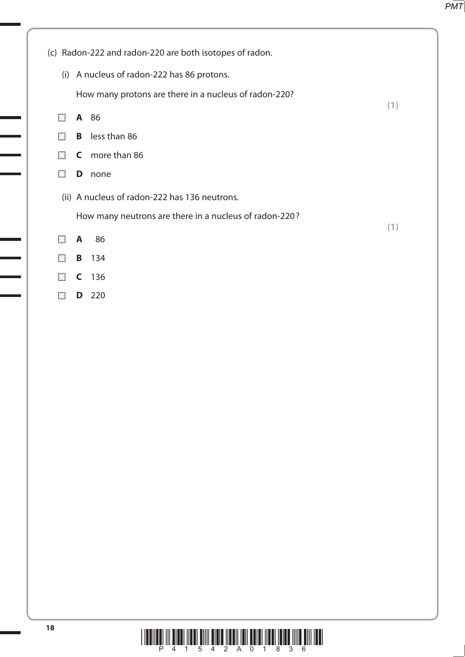|     |   | (c) Radon-222 and radon-220 are both isotopes of radon. |     |
|-----|---|---------------------------------------------------------|-----|
| (i) |   | A nucleus of radon-222 has 86 protons.                  |     |
|     |   | How many protons are there in a nucleus of radon-220?   |     |
| X   |   | A 86                                                    | (1) |
| ×   | B | less than 86                                            |     |
| ×   | C | more than 86                                            |     |
| X   | D | none                                                    |     |
|     |   | (ii) A nucleus of radon-222 has 136 neutrons.           |     |
|     |   | How many neutrons are there in a nucleus of radon-220?  |     |
| ×   | A | 86                                                      | (1) |
| X   | B | 134                                                     |     |
| ×   | C | 136                                                     |     |
|     | D | 220                                                     |     |

![](_page_17_Picture_2.jpeg)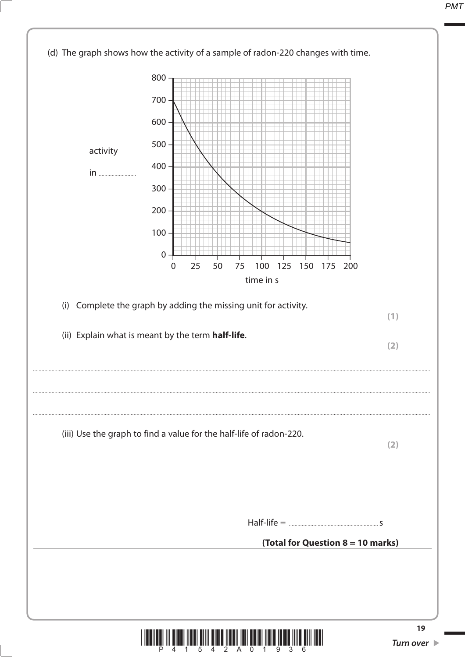![](_page_18_Figure_0.jpeg)

![](_page_18_Figure_1.jpeg)

 $\overline{5}$  4

2 A 0 1 9 3 6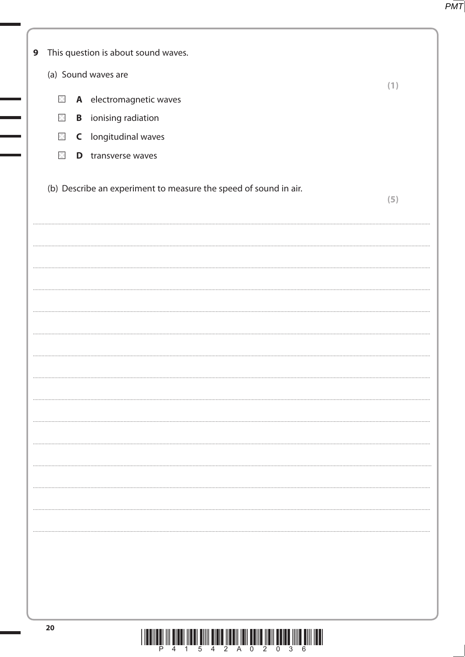$PMT$ 

|          | (a) Sound waves are                                              | (1) |
|----------|------------------------------------------------------------------|-----|
|          | $\blacksquare$ <b>A</b> electromagnetic waves                    |     |
| $\times$ | <b>B</b> ionising radiation                                      |     |
| $\times$ | <b>C</b> longitudinal waves                                      |     |
| $\times$ | <b>D</b> transverse waves                                        |     |
|          | (b) Describe an experiment to measure the speed of sound in air. | (5) |
|          |                                                                  |     |
|          |                                                                  |     |
|          |                                                                  |     |
|          |                                                                  |     |
|          |                                                                  |     |
|          |                                                                  |     |
|          |                                                                  |     |
|          |                                                                  |     |
|          |                                                                  |     |
|          |                                                                  |     |
|          |                                                                  |     |
|          |                                                                  |     |
|          |                                                                  |     |
|          |                                                                  |     |
|          |                                                                  |     |
|          |                                                                  |     |
|          |                                                                  |     |

í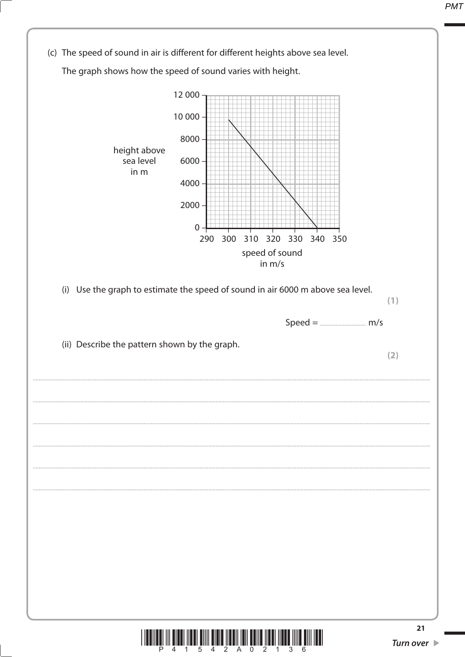![](_page_20_Figure_1.jpeg)

1 5 4 2 A 0 2 1

3 - 6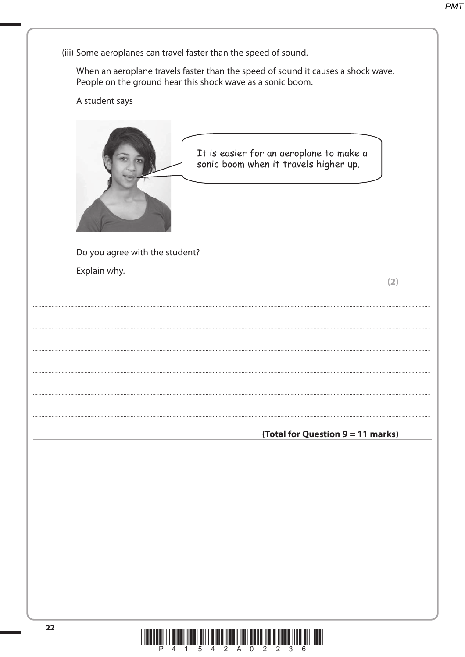(iii) Some aeroplanes can travel faster than the speed of sound. When an aeroplane travels faster than the speed of sound it causes a shock wave. People on the ground hear this shock wave as a sonic boom. A student says It is easier for an aeroplane to make a sonic boom when it travels higher up. Do you agree with the student? Explain why.  $(2)$ (Total for Question 9 = 11 marks)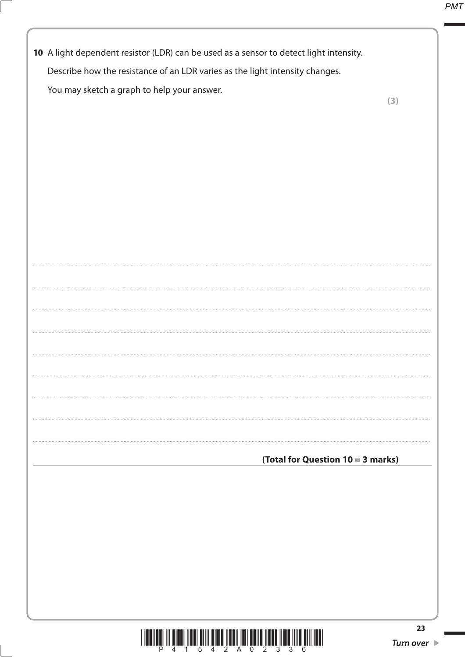| Describe how the resistance of an LDR varies as the light intensity changes.      |                                 |
|-----------------------------------------------------------------------------------|---------------------------------|
| You may sketch a graph to help your answer.                                       |                                 |
|                                                                                   | (3)                             |
|                                                                                   |                                 |
|                                                                                   |                                 |
|                                                                                   |                                 |
|                                                                                   |                                 |
|                                                                                   |                                 |
|                                                                                   |                                 |
|                                                                                   |                                 |
|                                                                                   |                                 |
|                                                                                   |                                 |
|                                                                                   |                                 |
|                                                                                   |                                 |
|                                                                                   |                                 |
|                                                                                   |                                 |
|                                                                                   |                                 |
|                                                                                   |                                 |
|                                                                                   |                                 |
|                                                                                   |                                 |
|                                                                                   |                                 |
|                                                                                   |                                 |
|                                                                                   |                                 |
| (Total for Question 10 = 3 marks)                                                 |                                 |
|                                                                                   |                                 |
|                                                                                   |                                 |
|                                                                                   |                                 |
|                                                                                   |                                 |
|                                                                                   |                                 |
|                                                                                   |                                 |
|                                                                                   |                                 |
|                                                                                   |                                 |
|                                                                                   | 23                              |
| <u>TITINI JIH ÇITINI ÇINI ÇITIN JIHI JIHI ÇINI JIHI JIHI JIHI JIHI JIHI JIHI </u> | Turn over $\blacktriangleright$ |
| 3                                                                                 |                                 |

10 A light dependent resistor (LDR) can be used as a sensor to detect light intensity.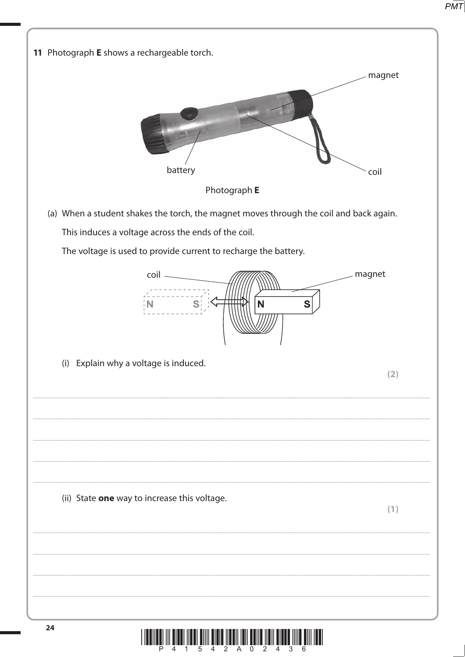![](_page_23_Figure_1.jpeg)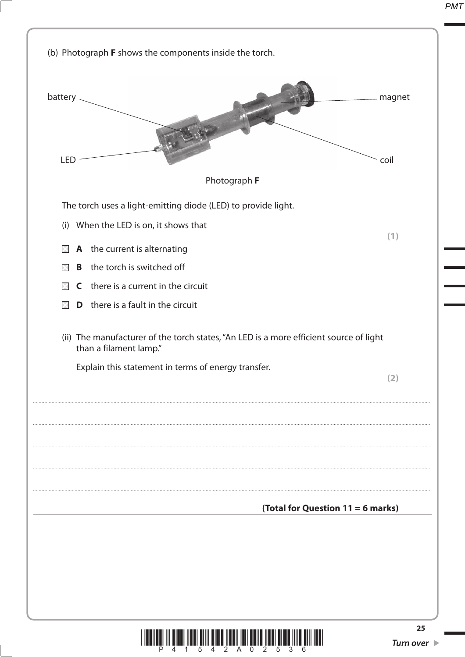![](_page_24_Picture_1.jpeg)

 $1\quad 5\quad 4\quad 2\quad A\quad 0\quad 2\quad 5\quad 3$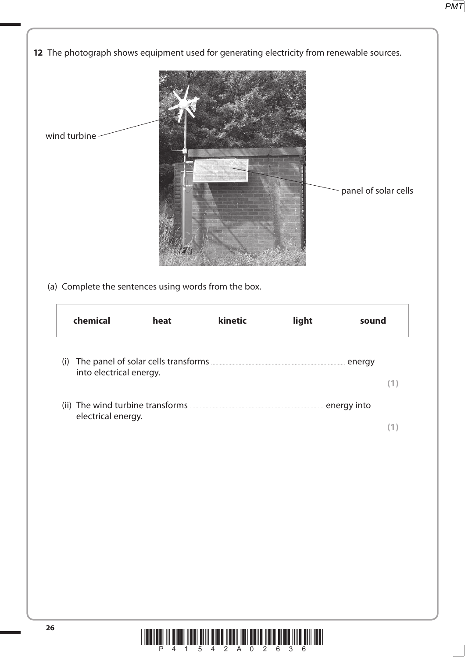![](_page_25_Picture_1.jpeg)

(a) Complete the sentences using words from the box.

|     | chemical                | heat | kinetic | light | sound       |  |
|-----|-------------------------|------|---------|-------|-------------|--|
| (i) | into electrical energy. |      |         |       | energy      |  |
|     | electrical energy.      |      |         |       | energy into |  |
|     |                         |      |         |       |             |  |

![](_page_25_Picture_4.jpeg)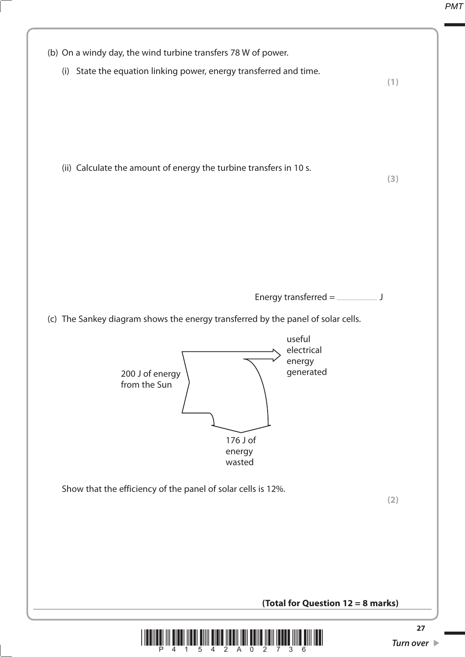![](_page_26_Figure_1.jpeg)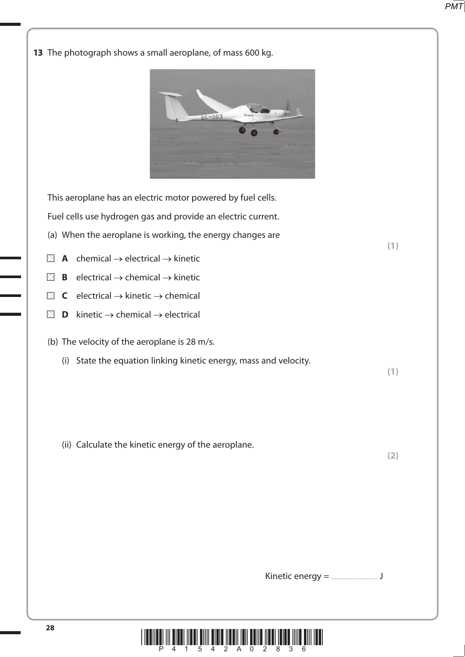| 13 The photograph shows a small aeroplane, of mass 600 kg.                   |     |
|------------------------------------------------------------------------------|-----|
| $EC-003$                                                                     |     |
| This aeroplane has an electric motor powered by fuel cells.                  |     |
| Fuel cells use hydrogen gas and provide an electric current.                 |     |
| (a) When the aeroplane is working, the energy changes are                    | (1) |
| chemical $\rightarrow$ electrical $\rightarrow$ kinetic<br>A                 |     |
| electrical $\rightarrow$ chemical $\rightarrow$ kinetic<br>X<br>B            |     |
| electrical $\rightarrow$ kinetic $\rightarrow$ chemical<br>$\mathbb{R}$<br>C |     |
| kinetic $\rightarrow$ chemical $\rightarrow$ electrical<br>X<br>D            |     |
| (b) The velocity of the aeroplane is 28 m/s.                                 |     |
| State the equation linking kinetic energy, mass and velocity.<br>(i)         | (1) |
| (ii) Calculate the kinetic energy of the aeroplane.                          | (2) |

Kinetic energy = ................................ J

![](_page_27_Picture_3.jpeg)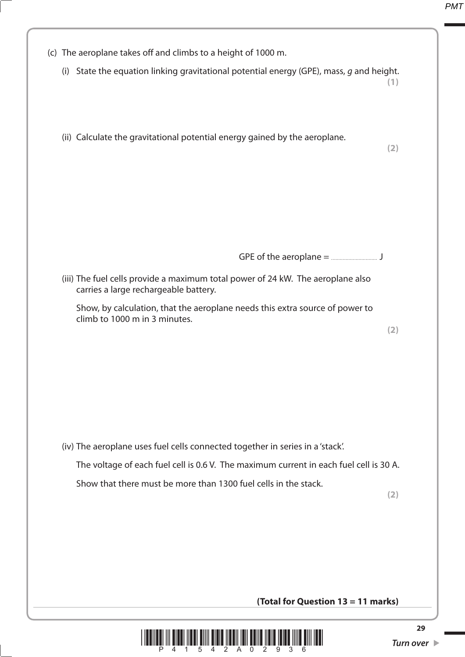| (c) The aeroplane takes off and climbs to a height of 1000 m.                                                                                             |     |
|-----------------------------------------------------------------------------------------------------------------------------------------------------------|-----|
| (i) State the equation linking gravitational potential energy (GPE), mass, $g$ and height.                                                                | (1) |
| (ii) Calculate the gravitational potential energy gained by the aeroplane.                                                                                | (2) |
|                                                                                                                                                           |     |
|                                                                                                                                                           |     |
| (iii) The fuel cells provide a maximum total power of 24 kW. The aeroplane also<br>carries a large rechargeable battery.                                  |     |
| Show, by calculation, that the aeroplane needs this extra source of power to<br>climb to 1000 m in 3 minutes.                                             |     |
|                                                                                                                                                           | (2) |
|                                                                                                                                                           |     |
|                                                                                                                                                           |     |
|                                                                                                                                                           |     |
| (iv) The aeroplane uses fuel cells connected together in series in a 'stack'.                                                                             |     |
| The voltage of each fuel cell is 0.6 V. The maximum current in each fuel cell is 30 A.<br>Show that there must be more than 1300 fuel cells in the stack. |     |
|                                                                                                                                                           | (2) |
|                                                                                                                                                           |     |
|                                                                                                                                                           |     |
|                                                                                                                                                           |     |
| (Total for Question 13 = 11 marks)                                                                                                                        |     |

![](_page_28_Picture_2.jpeg)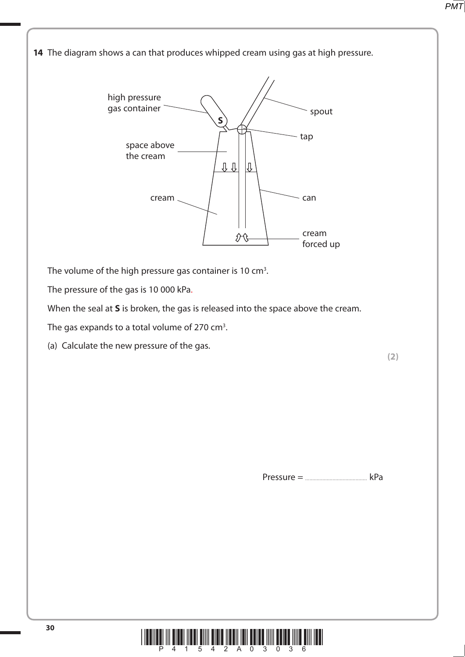![](_page_29_Figure_1.jpeg)

![](_page_29_Picture_2.jpeg)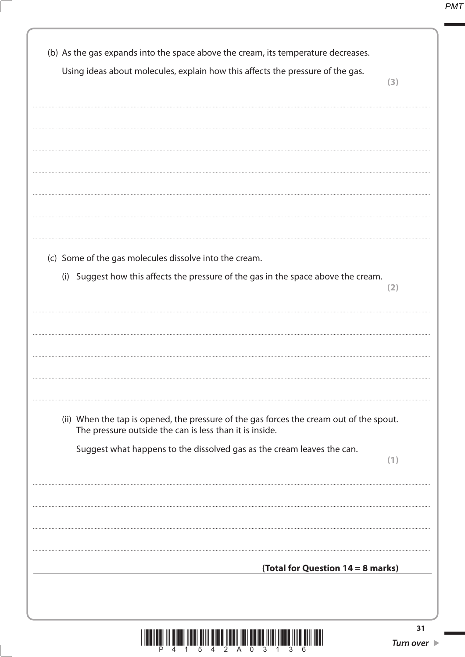| Using ideas about molecules, explain how this affects the pressure of the gas.                                                                     | (3) |
|----------------------------------------------------------------------------------------------------------------------------------------------------|-----|
|                                                                                                                                                    |     |
|                                                                                                                                                    |     |
|                                                                                                                                                    |     |
|                                                                                                                                                    |     |
|                                                                                                                                                    |     |
|                                                                                                                                                    |     |
| (c) Some of the gas molecules dissolve into the cream.                                                                                             |     |
| (i) Suggest how this affects the pressure of the gas in the space above the cream.                                                                 | (2) |
|                                                                                                                                                    |     |
|                                                                                                                                                    |     |
|                                                                                                                                                    |     |
|                                                                                                                                                    |     |
|                                                                                                                                                    |     |
| (ii) When the tap is opened, the pressure of the gas forces the cream out of the spout.<br>The pressure outside the can is less than it is inside. |     |
| Suggest what happens to the dissolved gas as the cream leaves the can.                                                                             | (1) |
|                                                                                                                                                    |     |
|                                                                                                                                                    |     |
|                                                                                                                                                    |     |
|                                                                                                                                                    |     |
| (Total for Question 14 = 8 marks)                                                                                                                  |     |
|                                                                                                                                                    |     |

1

![](_page_30_Picture_2.jpeg)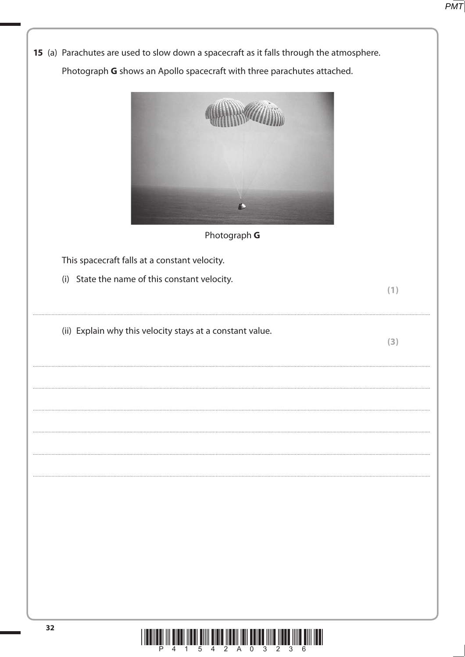![](_page_31_Picture_1.jpeg)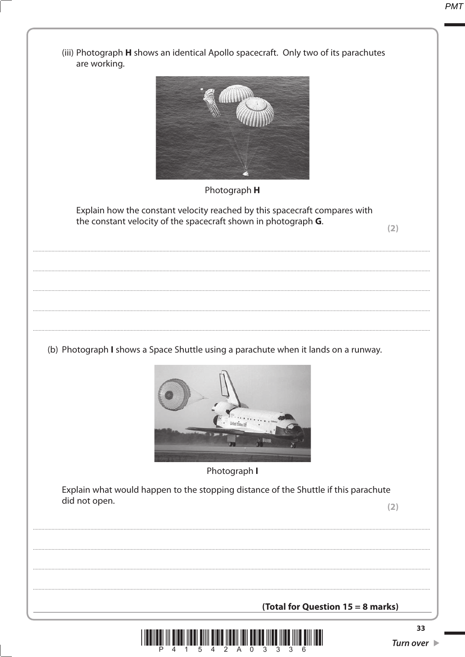![](_page_32_Picture_0.jpeg)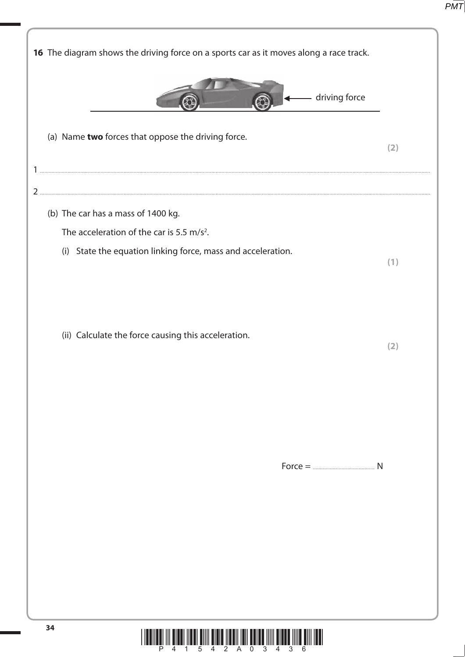![](_page_33_Picture_1.jpeg)

![](_page_33_Picture_3.jpeg)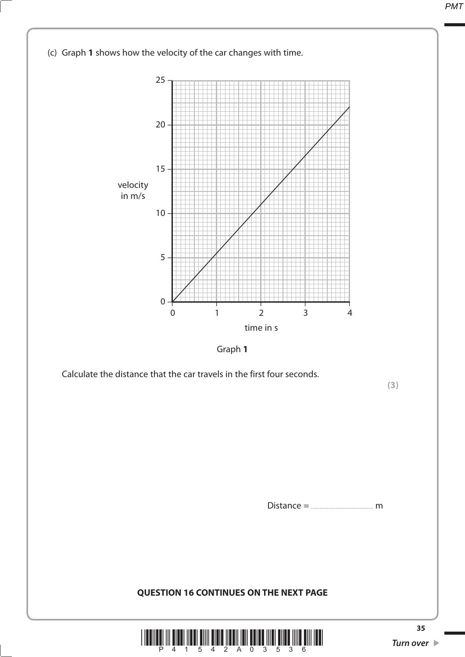![](_page_34_Figure_0.jpeg)

Graph **1**

– 2

time in s

– 3

– 4

– 1

Calculate the distance that the car travels in the first four seconds.

 $\theta$ 0

**(3)**

Distance = ........................................... m

### **QUESTION 16 CONTINUES ON THE NEXT PAGE**

![](_page_34_Picture_6.jpeg)